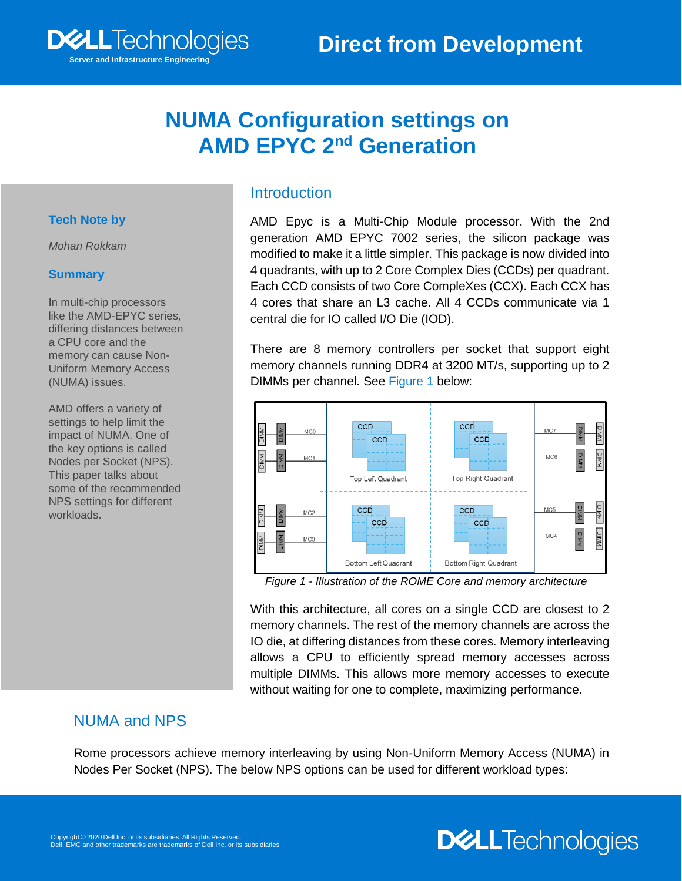

#### **Tech Note by**

*Mohan Rokkam*

#### **Summary**

In multi-chip processors like the AMD-EPYC series, differing distances between a CPU core and the memory can cause Non-Uniform Memory Access (NUMA) issues.

**Server and Infrastructure Engineering**

**DELL**Technologies

AMD offers a variety of settings to help limit the impact of NUMA. One of the key options is called Nodes per Socket (NPS). This paper talks about some of the recommended NPS settings for different workloads.

## **Introduction**

AMD Epyc is a Multi-Chip Module processor. With the 2nd generation AMD EPYC 7002 series, the silicon package was modified to make it a little simpler. This package is now divided into 4 quadrants, with up to 2 Core Complex Dies (CCDs) per quadrant. Each CCD consists of two Core CompleXes (CCX). Each CCX has 4 cores that share an L3 cache. All 4 CCDs communicate via 1 central die for IO called I/O Die (IOD).

There are 8 memory controllers per socket that support eight memory channels running DDR4 at 3200 MT/s, supporting up to 2 DIMMs per channel. See Figure 1 below:



*Figure 1 - Illustration of the ROME Core and memory architecture*

With this architecture, all cores on a single CCD are closest to 2 memory channels. The rest of the memory channels are across the IO die, at differing distances from these cores. Memory interleaving allows a CPU to efficiently spread memory accesses across multiple DIMMs. This allows more memory accesses to execute without waiting for one to complete, maximizing performance.

**DELL**Technologies

#### NUMA and NPS

Rome processors achieve memory interleaving by using Non-Uniform Memory Access (NUMA) in Nodes Per Socket (NPS). The below NPS options can be used for different workload types: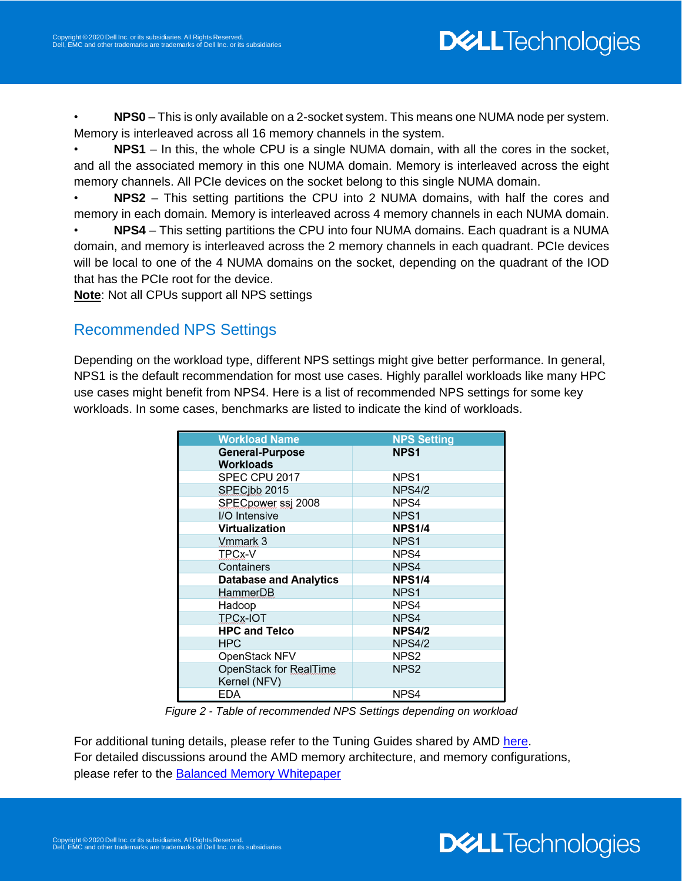• **NPS0** – This is only available on a 2-socket system. This means one NUMA node per system. Memory is interleaved across all 16 memory channels in the system.

• **NPS1** – In this, the whole CPU is a single NUMA domain, with all the cores in the socket, and all the associated memory in this one NUMA domain. Memory is interleaved across the eight memory channels. All PCIe devices on the socket belong to this single NUMA domain.

• **NPS2** – This setting partitions the CPU into 2 NUMA domains, with half the cores and memory in each domain. Memory is interleaved across 4 memory channels in each NUMA domain.

• **NPS4** – This setting partitions the CPU into four NUMA domains. Each quadrant is a NUMA domain, and memory is interleaved across the 2 memory channels in each quadrant. PCIe devices will be local to one of the 4 NUMA domains on the socket, depending on the quadrant of the IOD that has the PCIe root for the device.

**Note**: Not all CPUs support all NPS settings

#### Recommended NPS Settings

Depending on the workload type, different NPS settings might give better performance. In general, NPS1 is the default recommendation for most use cases. Highly parallel workloads like many HPC use cases might benefit from NPS4. Here is a list of recommended NPS settings for some key workloads. In some cases, benchmarks are listed to indicate the kind of workloads.

| <b>Workload Name</b>                       | <b>NPS Setting</b> |
|--------------------------------------------|--------------------|
| <b>General-Purpose</b><br><b>Workloads</b> | NPS <sub>1</sub>   |
| SPEC CPU 2017                              | NPS <sub>1</sub>   |
| SPECibb 2015                               | <b>NPS4/2</b>      |
| SPECpower ssj 2008                         | NPS4               |
| I/O Intensive                              | NPS1               |
| <b>Virtualization</b>                      | <b>NPS1/4</b>      |
| Vmmark 3                                   | NPS <sub>1</sub>   |
| TPCx-V                                     | NPS4               |
| Containers                                 | NPS4               |
| <b>Database and Analytics</b>              | <b>NPS1/4</b>      |
| HammerDB                                   | NPS <sub>1</sub>   |
| Hadoop                                     | NPS4               |
| <b>TPCx-IOT</b>                            | NPS4               |
| <b>HPC and Telco</b>                       | <b>NPS4/2</b>      |
| <b>HPC</b>                                 | <b>NPS4/2</b>      |
| OpenStack NFV                              | NPS2               |
| OpenStack for RealTime<br>Kernel (NFV)     | NPS <sub>2</sub>   |
| EDA                                        | NPS4               |

*Figure 2 - Table of recommended NPS Settings depending on workload*

For additional tuning details, please refer to the Tuning Guides shared by AMD [here.](https://developer.amd.com/resources/epyc-resources/epyc-tuning-guides/) For detailed discussions around the AMD memory architecture, and memory configurations, please refer to the **Balanced Memory Whitepaper**